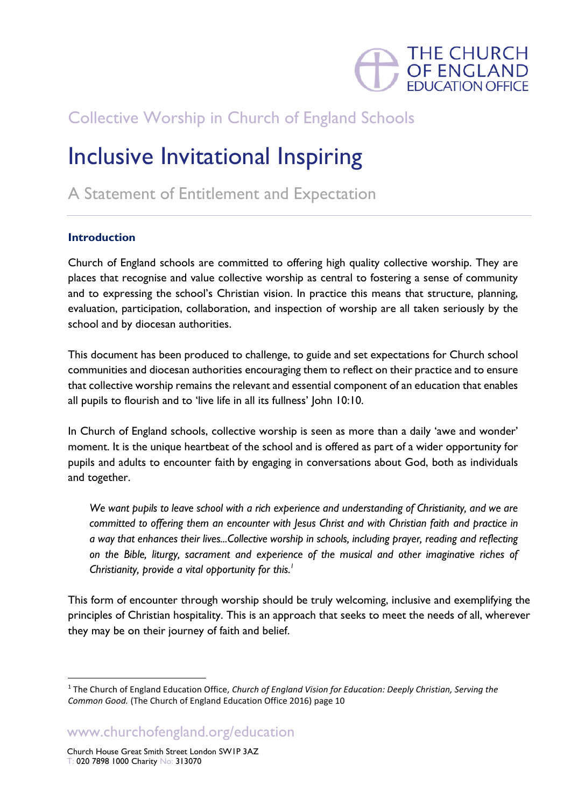

# Collective Worship in Church of England Schools

# Inclusive Invitational Inspiring

A Statement of Entitlement and Expectation

## **Introduction**

Church of England schools are committed to offering high quality collective worship. They are places that recognise and value collective worship as central to fostering a sense of community and to expressing the school's Christian vision. In practice this means that structure, planning, evaluation, participation, collaboration, and inspection of worship are all taken seriously by the school and by diocesan authorities.

This document has been produced to challenge, to guide and set expectations for Church school communities and diocesan authorities encouraging them to reflect on their practice and to ensure that collective worship remains the relevant and essential component of an education that enables all pupils to flourish and to 'live life in all its fullness' John 10:10.

In Church of England schools, collective worship is seen as more than a daily 'awe and wonder' moment. It is the unique heartbeat of the school and is offered as part of a wider opportunity for pupils and adults to encounter faith by engaging in conversations about God, both as individuals and together.

*We want pupils to leave school with a rich experience and understanding of Christianity, and we are committed to offering them an encounter with Jesus Christ and with Christian faith and practice in a way that enhances their lives...Collective worship in schools, including prayer, reading and reflecting on the Bible, liturgy, sacrament and experience of the musical and other imaginative riches of Christianity, provide a vital opportunity for this. 1*

This form of encounter through worship should be truly welcoming, inclusive and exemplifying the principles of Christian hospitality. This is an approach that seeks to meet the needs of all, wherever they may be on their journey of faith and belief.

www.churchofengland.org/education

<sup>1</sup> The Church of England Education Office, *Church of England Vision for Education: Deeply Christian, Serving the Common Good.* (The Church of England Education Office 2016) page 10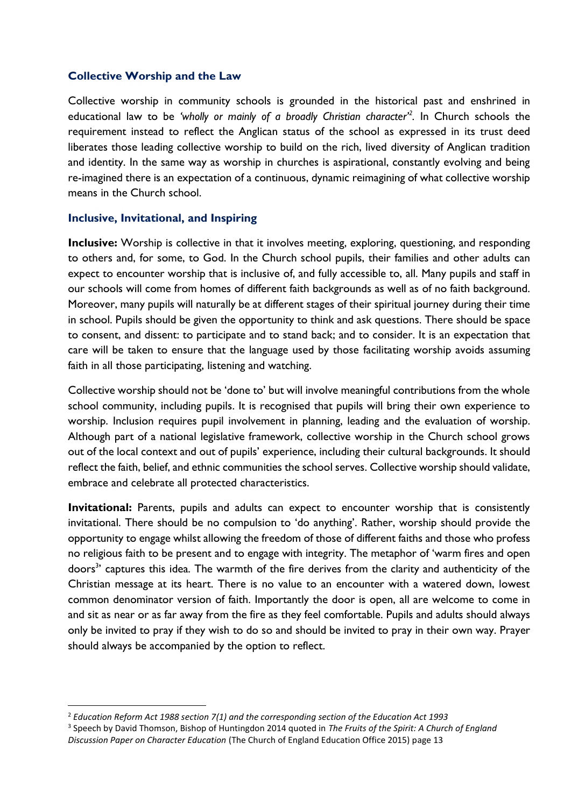#### **Collective Worship and the Law**

Collective worship in community schools is grounded in the historical past and enshrined in educational law to be *'wholly or mainly of a broadly Christian character'<sup>2</sup> .* In Church schools the requirement instead to reflect the Anglican status of the school as expressed in its trust deed liberates those leading collective worship to build on the rich, lived diversity of Anglican tradition and identity. In the same way as worship in churches is aspirational, constantly evolving and being re-imagined there is an expectation of a continuous, dynamic reimagining of what collective worship means in the Church school.

#### **Inclusive, Invitational, and Inspiring**

**Inclusive:** Worship is collective in that it involves meeting, exploring, questioning, and responding to others and, for some, to God. In the Church school pupils, their families and other adults can expect to encounter worship that is inclusive of, and fully accessible to, all. Many pupils and staff in our schools will come from homes of different faith backgrounds as well as of no faith background. Moreover, many pupils will naturally be at different stages of their spiritual journey during their time in school. Pupils should be given the opportunity to think and ask questions. There should be space to consent, and dissent: to participate and to stand back; and to consider. It is an expectation that care will be taken to ensure that the language used by those facilitating worship avoids assuming faith in all those participating, listening and watching.

Collective worship should not be 'done to' but will involve meaningful contributions from the whole school community, including pupils. It is recognised that pupils will bring their own experience to worship. Inclusion requires pupil involvement in planning, leading and the evaluation of worship. Although part of a national legislative framework, collective worship in the Church school grows out of the local context and out of pupils' experience, including their cultural backgrounds. It should reflect the faith, belief, and ethnic communities the school serves. Collective worship should validate, embrace and celebrate all protected characteristics.

**Invitational:** Parents, pupils and adults can expect to encounter worship that is consistently invitational. There should be no compulsion to 'do anything'. Rather, worship should provide the opportunity to engage whilst allowing the freedom of those of different faiths and those who profess no religious faith to be present and to engage with integrity. The metaphor of 'warm fires and open doors<sup>3</sup>' captures this idea. The warmth of the fire derives from the clarity and authenticity of the Christian message at its heart. There is no value to an encounter with a watered down, lowest common denominator version of faith. Importantly the door is open, all are welcome to come in and sit as near or as far away from the fire as they feel comfortable. Pupils and adults should always only be invited to pray if they wish to do so and should be invited to pray in their own way. Prayer should always be accompanied by the option to reflect.

<sup>2</sup> *Education Reform Act 1988 section 7(1) and the corresponding section of the Education Act 1993*

<sup>3</sup> Speech by David Thomson, Bishop of Huntingdon 2014 quoted in *The Fruits of the Spirit: A Church of England Discussion Paper on Character Education* (The Church of England Education Office 2015) page 13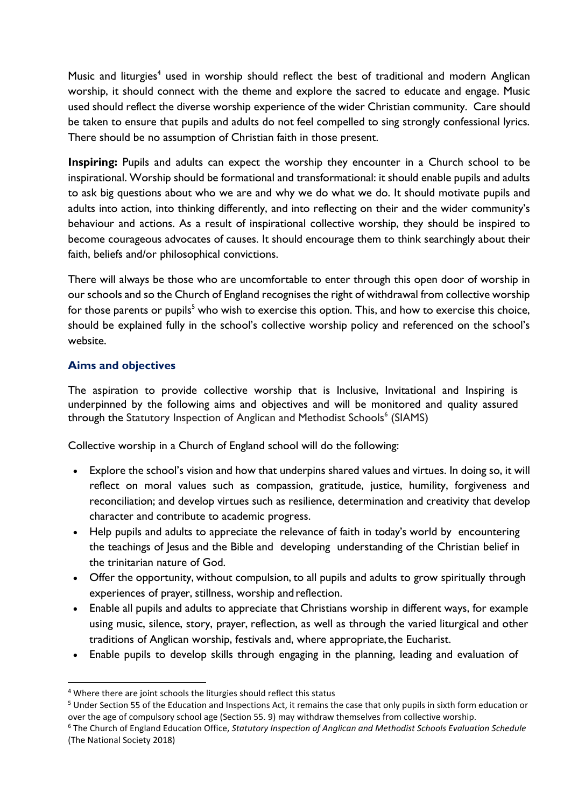Music and liturgies<sup>4</sup> used in worship should reflect the best of traditional and modern Anglican worship, it should connect with the theme and explore the sacred to educate and engage. Music used should reflect the diverse worship experience of the wider Christian community. Care should be taken to ensure that pupils and adults do not feel compelled to sing strongly confessional lyrics. There should be no assumption of Christian faith in those present.

**Inspiring:** Pupils and adults can expect the worship they encounter in a Church school to be inspirational. Worship should be formational and transformational: it should enable pupils and adults to ask big questions about who we are and why we do what we do. It should motivate pupils and adults into action, into thinking differently, and into reflecting on their and the wider community's behaviour and actions. As a result of inspirational collective worship, they should be inspired to become courageous advocates of causes. It should encourage them to think searchingly about their faith, beliefs and/or philosophical convictions.

There will always be those who are uncomfortable to enter through this open door of worship in our schools and so the Church of England recognises the right of withdrawal from collective worship for those parents or pupils<sup>5</sup> who wish to exercise this option. This, and how to exercise this choice, should be explained fully in the school's collective worship policy and referenced on the school's website.

## **Aims and objectives**

The aspiration to provide collective worship that is Inclusive, Invitational and Inspiring is underpinned by the following aims and objectives and will be monitored and quality assured through the Statutory Inspection of Anglican and Methodist Schools<sup>6</sup> (SIAMS)

Collective worship in a Church of England school will do the following:

- Explore the school's vision and how that underpins shared values and virtues. In doing so, it will reflect on moral values such as compassion, gratitude, justice, humility, forgiveness and reconciliation; and develop virtues such as resilience, determination and creativity that develop character and contribute to academic progress.
- Help pupils and adults to appreciate the relevance of faith in today's world by encountering the teachings of Jesus and the Bible and developing understanding of the Christian belief in the trinitarian nature of God.
- Offer the opportunity, without compulsion, to all pupils and adults to grow spiritually through experiences of prayer, stillness, worship and reflection.
- Enable all pupils and adults to appreciate that Christians worship in different ways, for example using music, silence, story, prayer, reflection, as well as through the varied liturgical and other traditions of Anglican worship, festivals and, where appropriate, the Eucharist.
- Enable pupils to develop skills through engaging in the planning, leading and evaluation of

<sup>4</sup> Where there are joint schools the liturgies should reflect this status

<sup>5</sup> Under Section 55 of the Education and Inspections Act, it remains the case that only pupils in sixth form education or over the age of compulsory school age (Section 55. 9) may withdraw themselves from collective worship.

<sup>6</sup> The Church of England Education Office, *Statutory Inspection of Anglican and Methodist Schools Evaluation Schedule*  (The National Society 2018)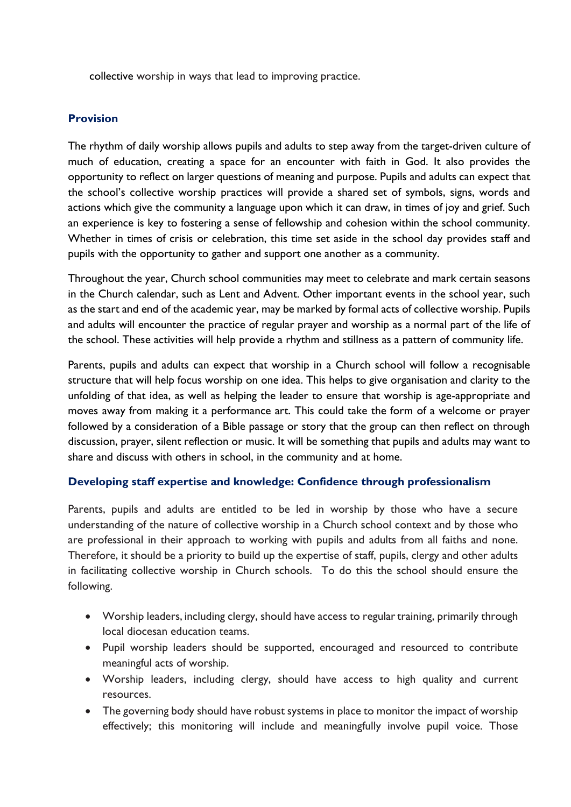collective worship in ways that lead to improving practice.

# **Provision**

The rhythm of daily worship allows pupils and adults to step away from the target-driven culture of much of education, creating a space for an encounter with faith in God. It also provides the opportunity to reflect on larger questions of meaning and purpose. Pupils and adults can expect that the school's collective worship practices will provide a shared set of symbols, signs, words and actions which give the community a language upon which it can draw, in times of joy and grief. Such an experience is key to fostering a sense of fellowship and cohesion within the school community. Whether in times of crisis or celebration, this time set aside in the school day provides staff and pupils with the opportunity to gather and support one another as a community.

Throughout the year, Church school communities may meet to celebrate and mark certain seasons in the Church calendar, such as Lent and Advent. Other important events in the school year, such as the start and end of the academic year, may be marked by formal acts of collective worship. Pupils and adults will encounter the practice of regular prayer and worship as a normal part of the life of the school. These activities will help provide a rhythm and stillness as a pattern of community life.

Parents, pupils and adults can expect that worship in a Church school will follow a recognisable structure that will help focus worship on one idea. This helps to give organisation and clarity to the unfolding of that idea, as well as helping the leader to ensure that worship is age-appropriate and moves away from making it a performance art. This could take the form of a welcome or prayer followed by a consideration of a Bible passage or story that the group can then reflect on through discussion, prayer, silent reflection or music. It will be something that pupils and adults may want to share and discuss with others in school, in the community and at home.

#### **Developing staff expertise and knowledge: Confidence through professionalism**

Parents, pupils and adults are entitled to be led in worship by those who have a secure understanding of the nature of collective worship in a Church school context and by those who are professional in their approach to working with pupils and adults from all faiths and none. Therefore, it should be a priority to build up the expertise of staff, pupils, clergy and other adults in facilitating collective worship in Church schools. To do this the school should ensure the following.

- Worship leaders, including clergy, should have access to regular training, primarily through local diocesan education teams.
- Pupil worship leaders should be supported, encouraged and resourced to contribute meaningful acts of worship.
- Worship leaders, including clergy, should have access to high quality and current resources.
- The governing body should have robust systems in place to monitor the impact of worship effectively; this monitoring will include and meaningfully involve pupil voice. Those